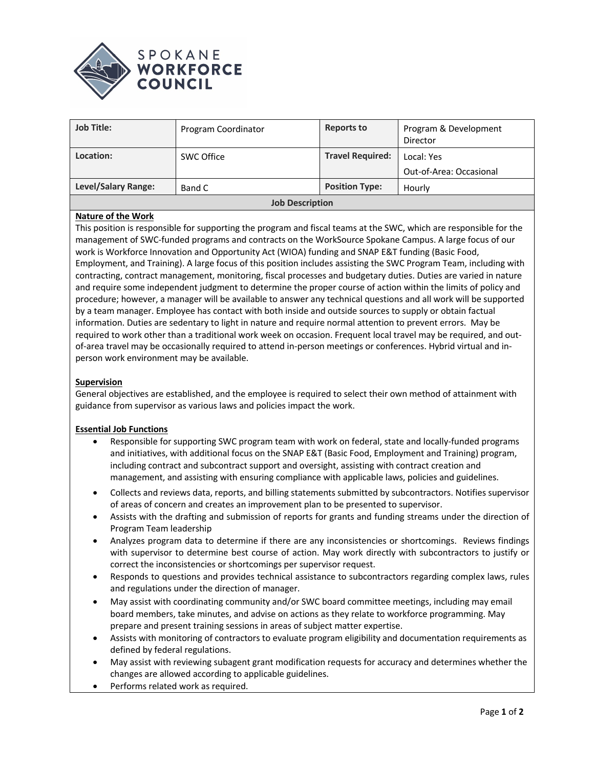



| <b>Job Title:</b>      | Program Coordinator | <b>Reports to</b>       | Program & Development<br>Director     |  |
|------------------------|---------------------|-------------------------|---------------------------------------|--|
| Location:              | SWC Office          | <b>Travel Required:</b> | Local: Yes<br>Out-of-Area: Occasional |  |
| Level/Salary Range:    | Band C              | <b>Position Type:</b>   | Hourly                                |  |
| <b>Job Description</b> |                     |                         |                                       |  |

# **Nature of the Work**

This position is responsible for supporting the program and fiscal teams at the SWC, which are responsible for the management of SWC-funded programs and contracts on the WorkSource Spokane Campus. A large focus of our work is Workforce Innovation and Opportunity Act (WIOA) funding and SNAP E&T funding (Basic Food, Employment, and Training). A large focus of this position includes assisting the SWC Program Team, including with contracting, contract management, monitoring, fiscal processes and budgetary duties. Duties are varied in nature and require some independent judgment to determine the proper course of action within the limits of policy and procedure; however, a manager will be available to answer any technical questions and all work will be supported by a team manager. Employee has contact with both inside and outside sources to supply or obtain factual information. Duties are sedentary to light in nature and require normal attention to prevent errors. May be required to work other than a traditional work week on occasion. Frequent local travel may be required, and outof-area travel may be occasionally required to attend in-person meetings or conferences. Hybrid virtual and inperson work environment may be available.

#### **Supervision**

General objectives are established, and the employee is required to select their own method of attainment with guidance from supervisor as various laws and policies impact the work.

#### **Essential Job Functions**

- Responsible for supporting SWC program team with work on federal, state and locally-funded programs and initiatives, with additional focus on the SNAP E&T (Basic Food, Employment and Training) program, including contract and subcontract support and oversight, assisting with contract creation and management, and assisting with ensuring compliance with applicable laws, policies and guidelines.
- Collects and reviews data, reports, and billing statements submitted by subcontractors. Notifies supervisor of areas of concern and creates an improvement plan to be presented to supervisor.
- Assists with the drafting and submission of reports for grants and funding streams under the direction of Program Team leadership
- Analyzes program data to determine if there are any inconsistencies or shortcomings. Reviews findings with supervisor to determine best course of action. May work directly with subcontractors to justify or correct the inconsistencies or shortcomings per supervisor request.
- Responds to questions and provides technical assistance to subcontractors regarding complex laws, rules and regulations under the direction of manager.
- May assist with coordinating community and/or SWC board committee meetings, including may email board members, take minutes, and advise on actions as they relate to workforce programming. May prepare and present training sessions in areas of subject matter expertise.
- Assists with monitoring of contractors to evaluate program eligibility and documentation requirements as defined by federal regulations.
- May assist with reviewing subagent grant modification requests for accuracy and determines whether the changes are allowed according to applicable guidelines.
- Performs related work as required.